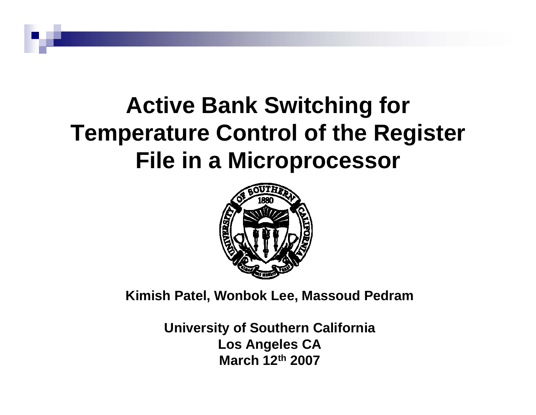# **Active Bank Switching for Temperature Control of the Register File in a Microprocessor**



**Kimish Patel, Wonbok Lee, Massoud Pedram**

**University of Southern California Los Angeles CA March 12th 2007**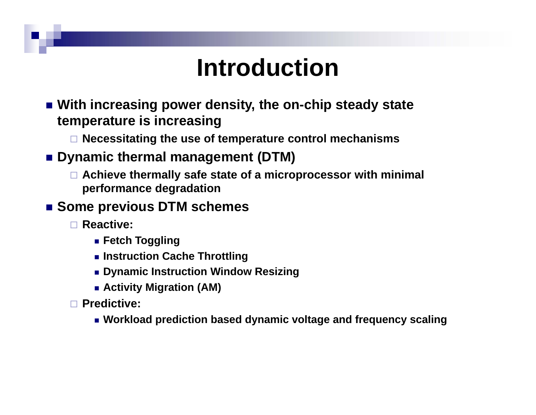# **Introduction**

- **With increasing power density, the on-chip steady state temperature is increasing**
	- **Necessitating the use of temperature control mechanisms**
- Dynamic thermal management (DTM)
	- **Achieve thermally safe state of a microprocessor with minimal performance degradation**
- Some previous DTM schemes
	- **Reactive:**
		- **Fetch Toggling**
		- **Instruction Cache Throttling**
		- **Dynamic Instruction Window Resizing**
		- **Activity Migration (AM)**
	- **Predictive:**
		- **Workload prediction based dynamic voltage and frequency scaling**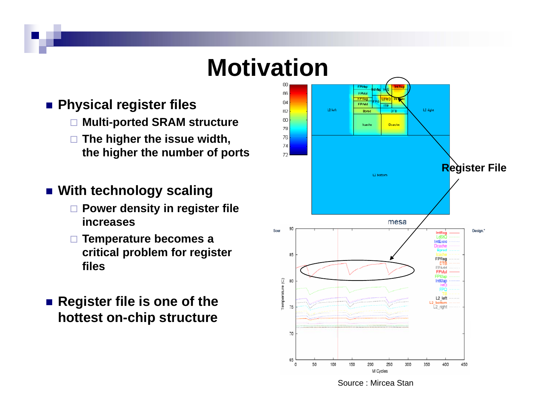# **Motivation**

- Physical register files
	- **Multi-ported SRAM structure**
	- **The higher the issue width, the higher the number of ports**
- **With technology scaling**
	- **Power density in register file increases**
	- **Temperature becomes a critical problem for register files**
- Register file is one of the **hottest on-chip structure**

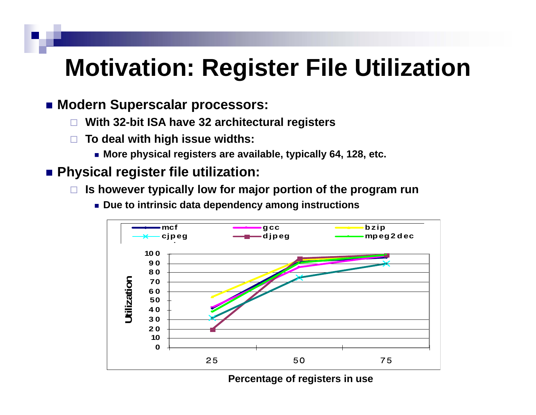# **Motivation: Register File Utilization**

#### **Modern Superscalar processors:**

- □ **With 32-bit ISA have 32 architectural registers**
- □ **To deal with high issue widths:**
	- **More physical registers are available, typically 64, 128, etc.**

#### **Physical register file utilization:**

 $\Box$ **Is however typically low for major portion of the program run**



**Due to intrinsic data dependency among instructions**

**Percentage of registers in use**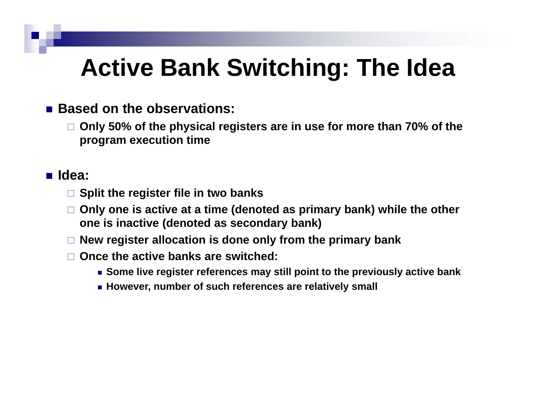## **Active Bank Switchin g: The Idea**

#### ■ Based on the observations:

 $\Box$  Only 50% of the physical registers are in use for more than 70% of the **program execution time**

#### **Idea:**

- **Split the register file in two banks**
- **Only one is active at a time (denoted as primary bank) while the other one is inactive (denoted as secondary bank)**
- **New register allocation is done only from the primary bank**
- **Once the active banks are switched:**
	- **Some live register references may still point to the previously active bank**
	- **However number of such references are relatively small However,**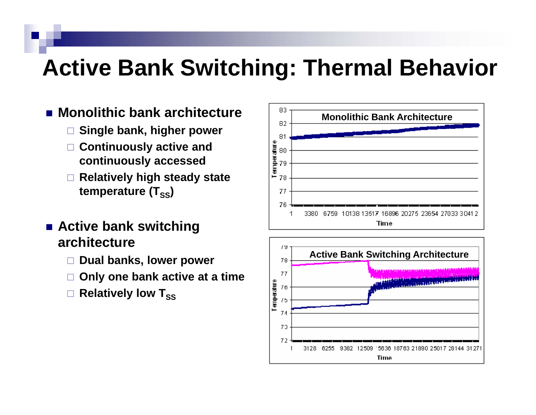### **Active Bank Switchin g: Thermal Behavior**

70 72

3128

6255

9382 12509

5636

**Time** 

21890 25017 28144

 $3127^{\circ}$ 

- **Monolithic bank architecture**
	- $\Box$ **Single bank higher power bank,**
	- **Continuously active and continuously accessed**
	- $\Box$  **Relatively high steady state steady** temperature (T<sub>ss</sub>)
- **Active bank switchin g architecture**
	- $\Box$ **Dual banks, lower power**
	- $\Box$ **Only one bank active at a time**
	- □ **Relatively low T<sub>SS</sub>**

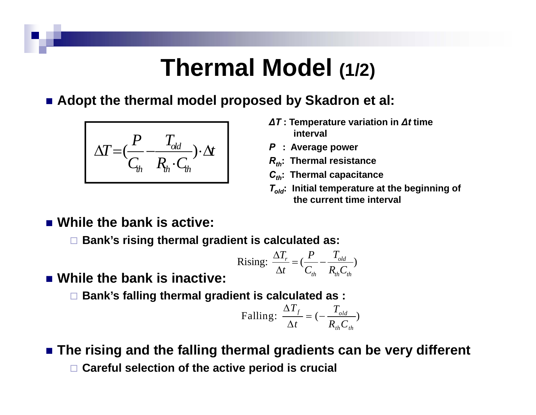### **Thermal Model (1/2)**

■ Adopt the thermal model proposed by Skadron et al:

$$
\Delta T = \left(\frac{P}{C_{th}} - \frac{T_{old}}{R_{th} \cdot C_{th}}\right) \cdot \Delta t
$$

- *∆T* **: Temperature variation in** *∆t* **time interval**
- *P* **: Average power**
- *Rth***: Thermal resistance**
- *Cth***: Thermal capacitance**
- *Told***: Initial temperature at the beginning of the current time interval**

**While the bank is active:**

**Bank's rising thermal gradient is calculated as:**

Rising: 
$$
\frac{\Delta T_r}{\Delta t} = \left(\frac{P}{C_{th}} - \frac{T_{old}}{R_{th}C_{th}}\right)
$$

**While the bank is inactive:**

**Bank's falling thermal gradient is calculated as :**

Falling: 
$$
\frac{\Delta T_f}{\Delta t} = (-\frac{T_{old}}{R_{th}C_{th}})
$$

 **The rising and the falling thermal gradients can be very different Careful selection of the active period is crucial**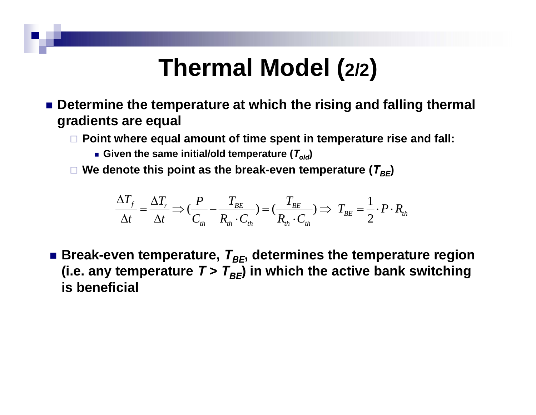### **Thermal Model (2/2)**

- Determine the temperature at which the rising and falling thermal **gradients are equal**
	- **Point where equal amount of time spent in temperature rise and fall:**
		- $\blacksquare$  Given the same initial/old temperature ( $T_{\mathit{old}}$ )
	- $\Box$  We denote this point as the break-even temperature ( $T_{BE}$ )

$$
\frac{\Delta T_f}{\Delta t} = \frac{\Delta T_r}{\Delta t} \Longrightarrow \left(\frac{P}{C_{th}} - \frac{T_{BE}}{R_{th} \cdot C_{th}}\right) = \left(\frac{T_{BE}}{R_{th} \cdot C_{th}}\right) \Longrightarrow T_{BE} = \frac{1}{2} \cdot P \cdot R_{th}
$$

 $\blacksquare$  Break-even temperature,  $\mathcal{T}_{BE}$ , determines the temperature region (i.e. any temperature  $T > T_{BE}$ ) in which the active bank switching **is beneficial**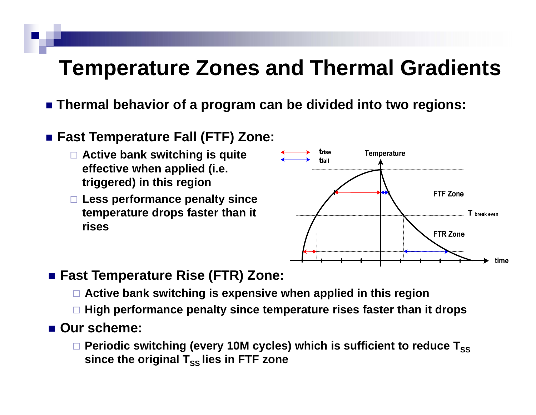### **Temperature Zones and Thermal Gradients**

**Thermal behavior of a program can be divided into two regions:**

#### **Fast Temperature Fall (FTF) Zone:**

- **Active bank switching is quite effective when applied (i.e. triggered) in this region region**
- **Less performance penalty since temperature drops faster than it rises**



#### **Fast Temperature Rise (FTR) Zone:**

- **Active bank switching is expensive when applied in this region**
- **High performance penalty since temperature rises faster than it drops**

#### ■ Our scheme:

 $\Box$  Periodic switching (every 10M cycles) which is sufficient to reduce  ${\sf T}_{\rm SS}$ since the original T<sub>ss</sub> lies in FTF zone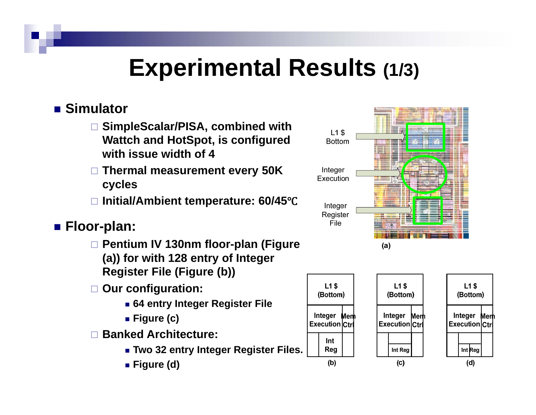### **Experimental Results (1/3)**

#### ■ Simulator

- **SimpleScalar/PISA, combined with with Wattch and HotSpot, is configured with issue width of 4**
- **Thermal measurement every 50K cycles**
- **Initial/Ambient temperature: 60/45**Ԩ

#### **Floor-plan:**

- **Pentium IV 130nm floor-plan (Figure (a)) for with 128 entry of Integer Register File (Figure (b))**
- **O fi ti Our configuration:**
	- **64 entry Integer Register File**
	- **Figure (c)**
- **Banked Architecture:**
	- **Two 32 entry Integer Register Files.**
	- **Figure (d)**



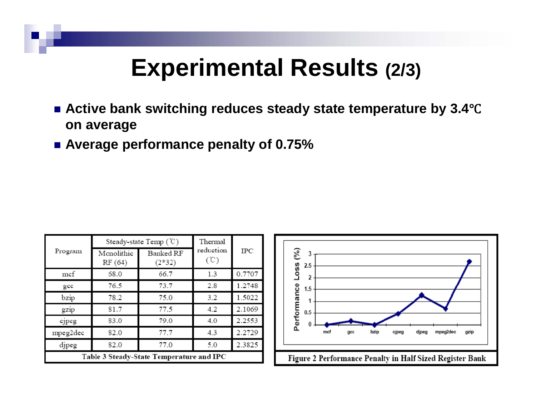### **Experimental Results (2/3)**

- Active bank switching reduces steady state temperature by 3.4℃ **on average**
- **Average performance penalty of 0.75%**

| Program                                  | Steady-state Temp $(\mathcal{C})$ |                       | Thermal           |            |
|------------------------------------------|-----------------------------------|-----------------------|-------------------|------------|
|                                          | Monolithic<br>RF (64)             | Banked RF<br>$(2*32)$ | reduction<br>(°C) | <b>IPC</b> |
| mcf                                      | 68.0                              | 66.7                  | 1.3               | 0.7707     |
| gcc                                      | 76.5                              | 73.7                  | 2.8               | 1.2748     |
| bzip                                     | 78.2                              | 75.0                  | 3.2               | 1.5022     |
| gzip                                     | 81.7                              | 77.5                  | 4.2               | 2.1069     |
| cjpeg                                    | 83.0                              | 79.0                  | 4.0               | 2.2553     |
| mpeg2dec                                 | 82.0                              | 77.7                  | 4.3               | 2.2729     |
| djpeg                                    | 82.0                              | 77.0                  | 5.0               | 2.3825     |
| Table 3 Steady-State Temperature and IPC |                                   |                       |                   |            |